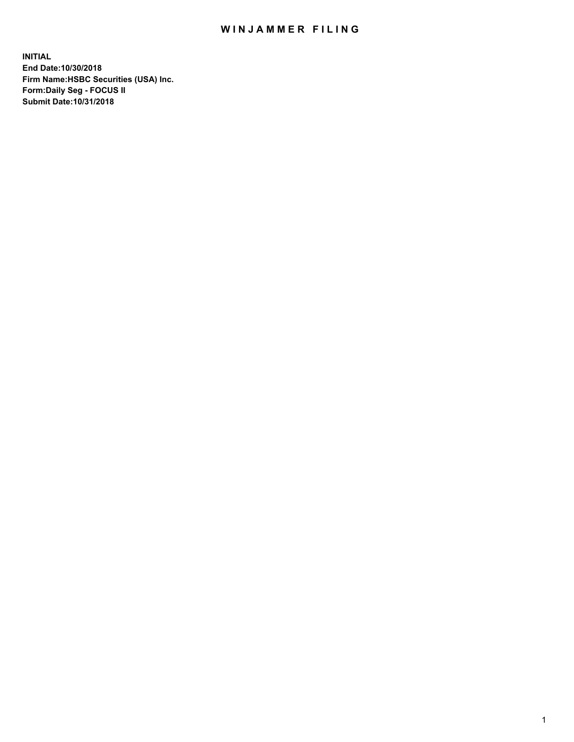## WIN JAMMER FILING

**INITIAL End Date:10/30/2018 Firm Name:HSBC Securities (USA) Inc. Form:Daily Seg - FOCUS II Submit Date:10/31/2018**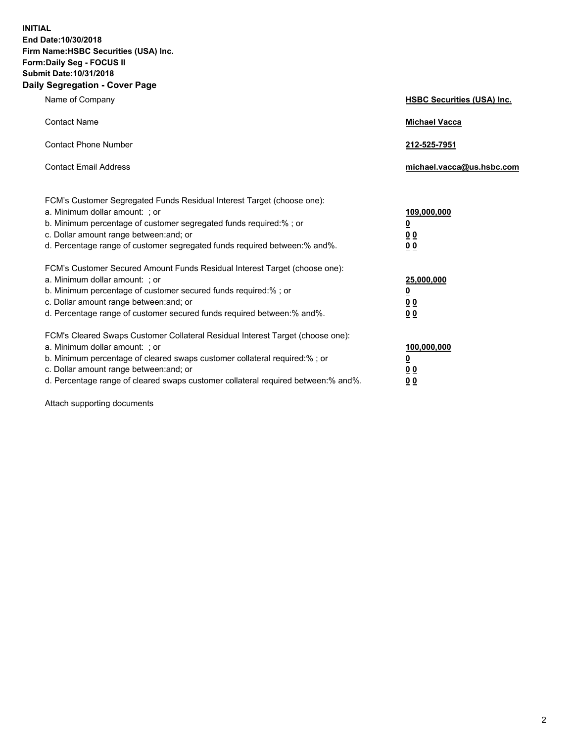**INITIAL End Date:10/30/2018 Firm Name:HSBC Securities (USA) Inc. Form:Daily Seg - FOCUS II Submit Date:10/31/2018 Daily Segregation - Cover Page**

| Name of Company                                                                                                                                                                                                                                                                                                                | <b>HSBC Securities (USA) Inc.</b>                                          |
|--------------------------------------------------------------------------------------------------------------------------------------------------------------------------------------------------------------------------------------------------------------------------------------------------------------------------------|----------------------------------------------------------------------------|
| <b>Contact Name</b>                                                                                                                                                                                                                                                                                                            | <b>Michael Vacca</b>                                                       |
| <b>Contact Phone Number</b>                                                                                                                                                                                                                                                                                                    | 212-525-7951                                                               |
| <b>Contact Email Address</b>                                                                                                                                                                                                                                                                                                   | michael.vacca@us.hsbc.com                                                  |
| FCM's Customer Segregated Funds Residual Interest Target (choose one):<br>a. Minimum dollar amount: : or<br>b. Minimum percentage of customer segregated funds required:% ; or<br>c. Dollar amount range between: and; or<br>d. Percentage range of customer segregated funds required between:% and%.                         | 109,000,000<br>$\overline{\mathbf{0}}$<br>0 <sub>0</sub><br>0 <sub>0</sub> |
| FCM's Customer Secured Amount Funds Residual Interest Target (choose one):<br>a. Minimum dollar amount: ; or<br>b. Minimum percentage of customer secured funds required:%; or<br>c. Dollar amount range between: and; or<br>d. Percentage range of customer secured funds required between:% and%.                            | 25,000,000<br><u>0</u><br>0 <sub>0</sub><br>00                             |
| FCM's Cleared Swaps Customer Collateral Residual Interest Target (choose one):<br>a. Minimum dollar amount: ; or<br>b. Minimum percentage of cleared swaps customer collateral required:% ; or<br>c. Dollar amount range between: and; or<br>d. Percentage range of cleared swaps customer collateral required between:% and%. | 100,000,000<br><u>0</u><br>00<br>0 <sub>0</sub>                            |

Attach supporting documents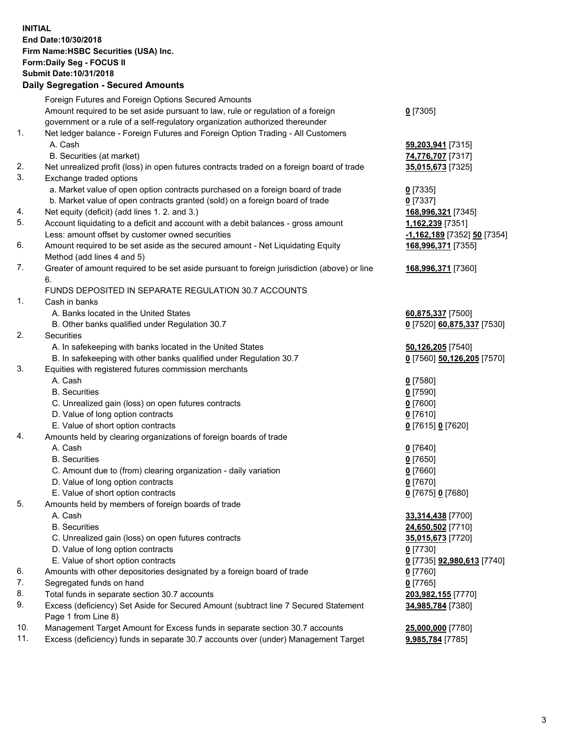**INITIAL End Date:10/30/2018 Firm Name:HSBC Securities (USA) Inc. Form:Daily Seg - FOCUS II Submit Date:10/31/2018 Daily Segregation - Secured Amounts** Foreign Futures and Foreign Options Secured Amounts Amount required to be set aside pursuant to law, rule or regulation of a foreign government or a rule of a self-regulatory organization authorized thereunder **0** [7305] 1. Net ledger balance - Foreign Futures and Foreign Option Trading - All Customers A. Cash **59,203,941** [7315] B. Securities (at market) **74,776,707** [7317] 2. Net unrealized profit (loss) in open futures contracts traded on a foreign board of trade **35,015,673** [7325] 3. Exchange traded options a. Market value of open option contracts purchased on a foreign board of trade **0** [7335] b. Market value of open contracts granted (sold) on a foreign board of trade **0** [7337] 4. Net equity (deficit) (add lines 1. 2. and 3.) **168,996,321** [7345] 5. Account liquidating to a deficit and account with a debit balances - gross amount **1,162,239** [7351] Less: amount offset by customer owned securities **-1,162,189** [7352] **50** [7354] 6. Amount required to be set aside as the secured amount - Net Liquidating Equity Method (add lines 4 and 5) **168,996,371** [7355] 7. Greater of amount required to be set aside pursuant to foreign jurisdiction (above) or line 6. **168,996,371** [7360] FUNDS DEPOSITED IN SEPARATE REGULATION 30.7 ACCOUNTS 1. Cash in banks A. Banks located in the United States **60,875,337** [7500] B. Other banks qualified under Regulation 30.7 **0** [7520] **60,875,337** [7530] 2. Securities A. In safekeeping with banks located in the United States **50,126,205** [7540] B. In safekeeping with other banks qualified under Regulation 30.7 **0** [7560] **50,126,205** [7570] 3. Equities with registered futures commission merchants A. Cash **0** [7580] B. Securities **0** [7590] C. Unrealized gain (loss) on open futures contracts **0** [7600] D. Value of long option contracts **0** [7610] E. Value of short option contracts **0** [7615] **0** [7620] 4. Amounts held by clearing organizations of foreign boards of trade A. Cash **0** [7640] B. Securities **0** [7650] C. Amount due to (from) clearing organization - daily variation **0** [7660] D. Value of long option contracts **0** [7670] E. Value of short option contracts **0** [7675] **0** [7680] 5. Amounts held by members of foreign boards of trade A. Cash **33,314,438** [7700] B. Securities **24,650,502** [7710] C. Unrealized gain (loss) on open futures contracts **35,015,673** [7720] D. Value of long option contracts **0** [7730] E. Value of short option contracts **0** [7735] **92,980,613** [7740] 6. Amounts with other depositories designated by a foreign board of trade **0** [7760] 7. Segregated funds on hand **0** [7765] 8. Total funds in separate section 30.7 accounts **203,982,155** [7770] 9. Excess (deficiency) Set Aside for Secured Amount (subtract line 7 Secured Statement Page 1 from Line 8) **34,985,784** [7380]

10. Management Target Amount for Excess funds in separate section 30.7 accounts **25,000,000** [7780]

11. Excess (deficiency) funds in separate 30.7 accounts over (under) Management Target **9,985,784** [7785]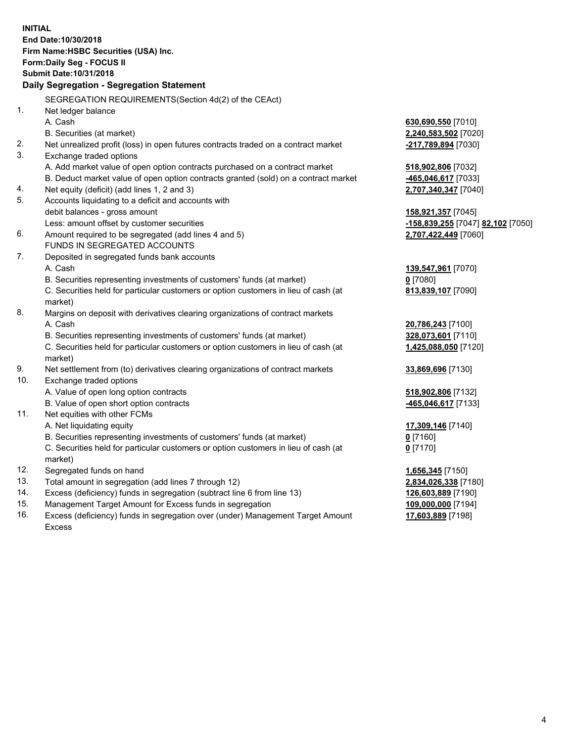**INITIAL End Date:10/30/2018 Firm Name:HSBC Securities (USA) Inc. Form:Daily Seg - FOCUS II Submit Date:10/31/2018 Daily Segregation - Segregation Statement** SEGREGATION REQUIREMENTS(Section 4d(2) of the CEAct) 1. Net ledger balance A. Cash **630,690,550** [7010] B. Securities (at market) **2,240,583,502** [7020] 2. Net unrealized profit (loss) in open futures contracts traded on a contract market **-217,789,894** [7030] 3. Exchange traded options A. Add market value of open option contracts purchased on a contract market **518,902,806** [7032] B. Deduct market value of open option contracts granted (sold) on a contract market **-465,046,617** [7033] 4. Net equity (deficit) (add lines 1, 2 and 3) **2,707,340,347** [7040] 5. Accounts liquidating to a deficit and accounts with debit balances - gross amount **158,921,357** [7045] Less: amount offset by customer securities **-158,839,255** [7047] **82,102** [7050] 6. Amount required to be segregated (add lines 4 and 5) **2,707,422,449** [7060] FUNDS IN SEGREGATED ACCOUNTS 7. Deposited in segregated funds bank accounts A. Cash **139,547,961** [7070] B. Securities representing investments of customers' funds (at market) **0** [7080] C. Securities held for particular customers or option customers in lieu of cash (at market) **813,839,107** [7090] 8. Margins on deposit with derivatives clearing organizations of contract markets A. Cash **20,786,243** [7100] B. Securities representing investments of customers' funds (at market) **328,073,601** [7110] C. Securities held for particular customers or option customers in lieu of cash (at market) **1,425,088,050** [7120] 9. Net settlement from (to) derivatives clearing organizations of contract markets **33,869,696** [7130] 10. Exchange traded options A. Value of open long option contracts **518,902,806** [7132] B. Value of open short option contracts **-465,046,617** [7133] 11. Net equities with other FCMs A. Net liquidating equity **17,309,146** [7140] B. Securities representing investments of customers' funds (at market) **0** [7160] C. Securities held for particular customers or option customers in lieu of cash (at market) **0** [7170] 12. Segregated funds on hand **1,656,345** [7150] 13. Total amount in segregation (add lines 7 through 12) **2,834,026,338** [7180] 14. Excess (deficiency) funds in segregation (subtract line 6 from line 13) **126,603,889** [7190] 15. Management Target Amount for Excess funds in segregation **109,000,000** [7194] 16. Excess (deficiency) funds in segregation over (under) Management Target Amount **17,603,889** [7198]

Excess